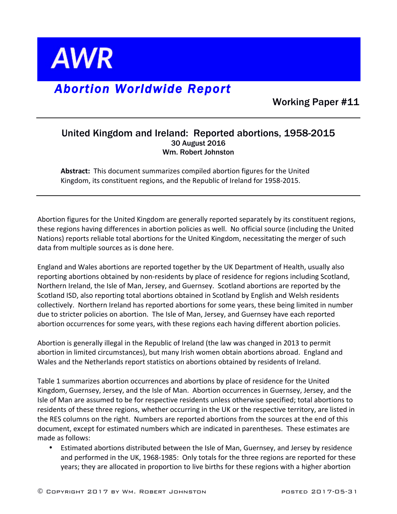

## *Abortion Worldwide Report*

Working Paper #11

## United Kingdom and Ireland: Reported abortions, 1958-2015 30 August 2016 Wm. Robert Johnston

Abstract: This document summarizes compiled abortion figures for the United Kingdom, its constituent regions, and the Republic of Ireland for 1958-2015.

Abortion figures for the United Kingdom are generally reported separately by its constituent regions, these regions having differences in abortion policies as well. No official source (including the United Nations) reports reliable total abortions for the United Kingdom, necessitating the merger of such data from multiple sources as is done here.

England and Wales abortions are reported together by the UK Department of Health, usually also reporting abortions obtained by non-residents by place of residence for regions including Scotland, Northern Ireland, the Isle of Man, Jersey, and Guernsey. Scotland abortions are reported by the Scotland ISD, also reporting total abortions obtained in Scotland by English and Welsh residents collectively. Northern Ireland has reported abortions for some years, these being limited in number due to stricter policies on abortion. The Isle of Man, Jersey, and Guernsey have each reported abortion occurrences for some years, with these regions each having different abortion policies.

Abortion is generally illegal in the Republic of Ireland (the law was changed in 2013 to permit abortion in limited circumstances), but many Irish women obtain abortions abroad. England and Wales and the Netherlands report statistics on abortions obtained by residents of Ireland.

Table 1 summarizes abortion occurrences and abortions by place of residence for the United Kingdom, Guernsey, Jersey, and the Isle of Man. Abortion occurrences in Guernsey, Jersey, and the Isle of Man are assumed to be for respective residents unless otherwise specified; total abortions to residents of these three regions, whether occurring in the UK or the respective territory, are listed in the RES columns on the right. Numbers are reported abortions from the sources at the end of this document, except for estimated numbers which are indicated in parentheses. These estimates are made as follows:

Estimated abortions distributed between the Isle of Man, Guernsey, and Jersey by residence and performed in the UK, 1968-1985: Only totals for the three regions are reported for these years; they are allocated in proportion to live births for these regions with a higher abortion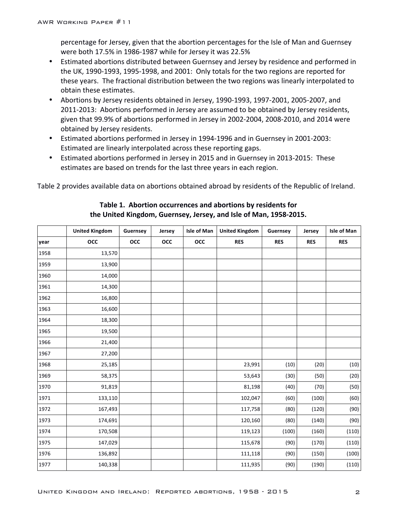percentage for Jersey, given that the abortion percentages for the Isle of Man and Guernsey were both 17.5% in 1986-1987 while for Jersey it was 22.5%

- Estimated abortions distributed between Guernsey and Jersey by residence and performed in the UK, 1990-1993, 1995-1998, and 2001: Only totals for the two regions are reported for these years. The fractional distribution between the two regions was linearly interpolated to obtain these estimates.
- Abortions by Jersey residents obtained in Jersey, 1990-1993, 1997-2001, 2005-2007, and 2011-2013: Abortions performed in Jersey are assumed to be obtained by Jersey residents, given that 99.9% of abortions performed in Jersey in 2002-2004, 2008-2010, and 2014 were obtained by Jersey residents.
- Estimated abortions performed in Jersey in 1994-1996 and in Guernsey in 2001-2003: Estimated are linearly interpolated across these reporting gaps.
- Estimated abortions performed in Jersey in 2015 and in Guernsey in 2013-2015: These estimates are based on trends for the last three years in each region.

Table 2 provides available data on abortions obtained abroad by residents of the Republic of Ireland.

|      | <b>United Kingdom</b> | Guernsey | Jersey | Isle of Man | <b>United Kingdom</b> | Guernsey   | Jersey     | Isle of Man |
|------|-----------------------|----------|--------|-------------|-----------------------|------------|------------|-------------|
| year | occ                   | occ      | occ    | occ         | <b>RES</b>            | <b>RES</b> | <b>RES</b> | <b>RES</b>  |
| 1958 | 13,570                |          |        |             |                       |            |            |             |
| 1959 | 13,900                |          |        |             |                       |            |            |             |
| 1960 | 14,000                |          |        |             |                       |            |            |             |
| 1961 | 14,300                |          |        |             |                       |            |            |             |
| 1962 | 16,800                |          |        |             |                       |            |            |             |
| 1963 | 16,600                |          |        |             |                       |            |            |             |
| 1964 | 18,300                |          |        |             |                       |            |            |             |
| 1965 | 19,500                |          |        |             |                       |            |            |             |
| 1966 | 21,400                |          |        |             |                       |            |            |             |
| 1967 | 27,200                |          |        |             |                       |            |            |             |
| 1968 | 25,185                |          |        |             | 23,991                | (10)       | (20)       | (10)        |
| 1969 | 58,375                |          |        |             | 53,643                | (30)       | (50)       | (20)        |
| 1970 | 91,819                |          |        |             | 81,198                | (40)       | (70)       | (50)        |
| 1971 | 133,110               |          |        |             | 102,047               | (60)       | (100)      | (60)        |
| 1972 | 167,493               |          |        |             | 117,758               | (80)       | (120)      | (90)        |
| 1973 | 174,691               |          |        |             | 120,160               | (80)       | (140)      | (90)        |
| 1974 | 170,508               |          |        |             | 119,123               | (100)      | (160)      | (110)       |
| 1975 | 147,029               |          |        |             | 115,678               | (90)       | (170)      | (110)       |
| 1976 | 136,892               |          |        |             | 111,118               | (90)       | (150)      | (100)       |
| 1977 | 140,338               |          |        |             | 111,935               | (90)       | (190)      | (110)       |

## **Table 1. Abortion occurrences and abortions by residents for** the United Kingdom, Guernsey, Jersey, and Isle of Man, 1958-2015.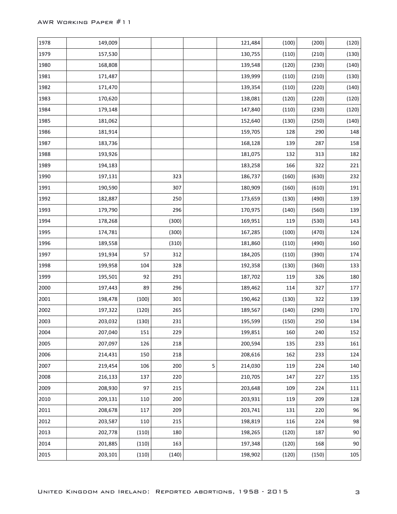| 1978 | 149,009 |       |       |   | 121,484 | (100) | (200) | (120)   |
|------|---------|-------|-------|---|---------|-------|-------|---------|
| 1979 | 157,530 |       |       |   | 130,755 | (110) | (210) | (130)   |
| 1980 | 168,808 |       |       |   | 139,548 | (120) | (230) | (140)   |
| 1981 | 171,487 |       |       |   | 139,999 | (110) | (210) | (130)   |
| 1982 | 171,470 |       |       |   | 139,354 | (110) | (220) | (140)   |
| 1983 | 170,620 |       |       |   | 138,081 | (120) | (220) | (120)   |
| 1984 | 179,148 |       |       |   | 147,840 | (110) | (230) | (120)   |
| 1985 | 181,062 |       |       |   | 152,640 | (130) | (250) | (140)   |
| 1986 | 181,914 |       |       |   | 159,705 | 128   | 290   | 148     |
| 1987 | 183,736 |       |       |   | 168,128 | 139   | 287   | 158     |
| 1988 | 193,926 |       |       |   | 181,075 | 132   | 313   | 182     |
| 1989 | 194,183 |       |       |   | 183,258 | 166   | 322   | 221     |
| 1990 | 197,131 |       | 323   |   | 186,737 | (160) | (630) | 232     |
| 1991 | 190,590 |       | 307   |   | 180,909 | (160) | (610) | 191     |
| 1992 | 182,887 |       | 250   |   | 173,659 | (130) | (490) | 139     |
| 1993 | 179,790 |       | 296   |   | 170,975 | (140) | (560) | 139     |
| 1994 | 178,268 |       | (300) |   | 169,951 | 119   | (530) | 143     |
| 1995 | 174,781 |       | (300) |   | 167,285 | (100) | (470) | 124     |
| 1996 | 189,558 |       | (310) |   | 181,860 | (110) | (490) | 160     |
| 1997 | 191,934 | 57    | 312   |   | 184,205 | (110) | (390) | 174     |
| 1998 | 199,958 | 104   | 328   |   | 192,358 | (130) | (360) | 133     |
| 1999 | 195,501 | 92    | 291   |   | 187,702 | 119   | 326   | 180     |
| 2000 | 197,443 | 89    | 296   |   | 189,462 | 114   | 327   | 177     |
| 2001 | 198,478 | (100) | 301   |   | 190,462 | (130) | 322   | 139     |
| 2002 | 197,322 | (120) | 265   |   | 189,567 | (140) | (290) | 170     |
| 2003 | 203,032 | (130) | 231   |   | 195,599 | (150) | 250   | 134     |
| 2004 | 207,040 | 151   | 229   |   | 199,851 | 160   | 240   | 152     |
| 2005 | 207,097 | 126   | 218   |   | 200,594 | 135   | 233   | 161     |
| 2006 | 214,431 | 150   | 218   |   | 208,616 | 162   | 233   | 124     |
| 2007 | 219,454 | 106   | 200   | 5 | 214,030 | 119   | 224   | 140     |
| 2008 | 216,133 | 137   | 220   |   | 210,705 | 147   | 227   | 135     |
| 2009 | 208,930 | 97    | 215   |   | 203,648 | 109   | 224   | 111     |
| 2010 | 209,131 | 110   | 200   |   | 203,931 | 119   | 209   | 128     |
| 2011 | 208,678 | 117   | 209   |   | 203,741 | 131   | 220   | 96      |
| 2012 | 203,587 | 110   | 215   |   | 198,819 | 116   | 224   | 98      |
| 2013 | 202,778 | (110) | 180   |   | 198,265 | (120) | 187   | $90\,$  |
| 2014 | 201,885 | (110) | 163   |   | 197,348 | (120) | 168   | $90\,$  |
| 2015 | 203,101 | (110) | (140) |   | 198,902 | (120) | (150) | $105\,$ |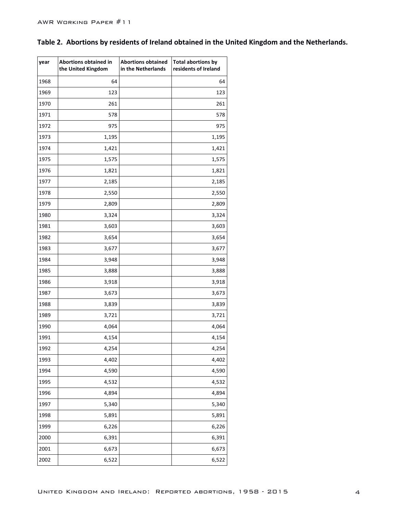|  | Table 2. Abortions by residents of Ireland obtained in the United Kingdom and the Netherlands. |  |  |  |  |  |  |  |  |
|--|------------------------------------------------------------------------------------------------|--|--|--|--|--|--|--|--|
|--|------------------------------------------------------------------------------------------------|--|--|--|--|--|--|--|--|

| year | Abortions obtained in<br>the United Kingdom | <b>Abortions obtained</b><br>in the Netherlands | <b>Total abortions by</b><br>residents of Ireland |
|------|---------------------------------------------|-------------------------------------------------|---------------------------------------------------|
| 1968 | 64                                          |                                                 | 64                                                |
| 1969 | 123                                         |                                                 | 123                                               |
| 1970 | 261                                         |                                                 | 261                                               |
| 1971 | 578                                         |                                                 | 578                                               |
| 1972 | 975                                         |                                                 | 975                                               |
| 1973 | 1,195                                       |                                                 | 1,195                                             |
| 1974 | 1,421                                       |                                                 | 1,421                                             |
| 1975 | 1,575                                       |                                                 | 1,575                                             |
| 1976 | 1,821                                       |                                                 | 1,821                                             |
| 1977 | 2,185                                       |                                                 | 2,185                                             |
| 1978 | 2,550                                       |                                                 | 2,550                                             |
| 1979 | 2,809                                       |                                                 | 2,809                                             |
| 1980 | 3,324                                       |                                                 | 3,324                                             |
| 1981 | 3,603                                       |                                                 | 3,603                                             |
| 1982 | 3,654                                       |                                                 | 3,654                                             |
| 1983 | 3,677                                       |                                                 | 3,677                                             |
| 1984 | 3,948                                       |                                                 | 3,948                                             |
| 1985 | 3,888                                       |                                                 | 3,888                                             |
| 1986 | 3,918                                       |                                                 | 3,918                                             |
| 1987 | 3,673                                       |                                                 | 3,673                                             |
| 1988 | 3,839                                       |                                                 | 3,839                                             |
| 1989 | 3,721                                       |                                                 | 3,721                                             |
| 1990 | 4,064                                       |                                                 | 4,064                                             |
| 1991 | 4,154                                       |                                                 | 4,154                                             |
| 1992 | 4,254                                       |                                                 | 4,254                                             |
| 1993 | 4,402                                       |                                                 | 4,402                                             |
| 1994 | 4,590                                       |                                                 | 4,590                                             |
| 1995 | 4,532                                       |                                                 | 4,532                                             |
| 1996 | 4,894                                       |                                                 | 4,894                                             |
| 1997 | 5,340                                       |                                                 | 5,340                                             |
| 1998 | 5,891                                       |                                                 | 5,891                                             |
| 1999 | 6,226                                       |                                                 | 6,226                                             |
| 2000 | 6,391                                       |                                                 | 6,391                                             |
| 2001 | 6,673                                       |                                                 | 6,673                                             |
| 2002 | 6,522                                       |                                                 | 6,522                                             |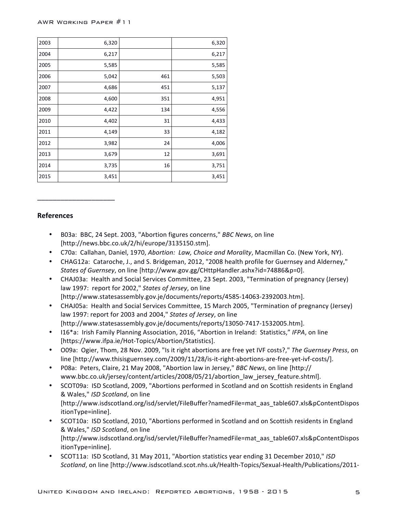| 2003 | 6,320 |     | 6,320 |
|------|-------|-----|-------|
| 2004 | 6,217 |     | 6,217 |
| 2005 | 5,585 |     | 5,585 |
| 2006 | 5,042 | 461 | 5,503 |
| 2007 | 4,686 | 451 | 5,137 |
| 2008 | 4,600 | 351 | 4,951 |
| 2009 | 4,422 | 134 | 4,556 |
| 2010 | 4,402 | 31  | 4,433 |
| 2011 | 4,149 | 33  | 4,182 |
| 2012 | 3,982 | 24  | 4,006 |
| 2013 | 3,679 | 12  | 3,691 |
| 2014 | 3,735 | 16  | 3,751 |
| 2015 | 3,451 |     | 3,451 |

## **References**

\_\_\_\_\_\_\_\_\_\_\_\_\_\_\_\_\_\_\_\_

- B03a: BBC, 24 Sept. 2003, "Abortion figures concerns," *BBC News*, on line [http://news.bbc.co.uk/2/hi/europe/3135150.stm].
- C70a: Callahan, Daniel, 1970, Abortion: Law, Choice and Morality, Macmillan Co. (New York, NY).
- CHAG12a: Cataroche, J., and S. Bridgeman, 2012, "2008 health profile for Guernsey and Alderney," *States of Guernsey*, on line [http://www.gov.gg/CHttpHandler.ashx?id=74886&p=0].
- CHAJ03a: Health and Social Services Committee, 23 Sept. 2003, "Termination of pregnancy (Jersey) law 1997: report for 2002," States of Jersey, on line [http://www.statesassembly.gov.je/documents/reports/4585-14063-2392003.htm].
- CHAJ05a: Health and Social Services Committee, 15 March 2005, "Termination of pregnancy (Jersey) law 1997: report for 2003 and 2004," States of Jersey, on line [http://www.statesassembly.gov.je/documents/reports/13050-7417-1532005.htm].
- 16<sup>\*</sup>a: Irish Family Planning Association, 2016, "Abortion in Ireland: Statistics," IFPA, on line [https://www.ifpa.ie/Hot-Topics/Abortion/Statistics].
- O09a: Ogier, Thom, 28 Nov. 2009, "Is it right abortions are free yet IVF costs?," The Guernsey Press, on line [http://www.thisisguernsey.com/2009/11/28/is-it-right-abortions-are-free-yet-ivf-costs/].
- P08a: Peters, Claire, 21 May 2008, "Abortion law in Jersey," *BBC* News, on line [http:// www.bbc.co.uk/jersey/content/articles/2008/05/21/abortion\_law\_jersey\_feature.shtml].
- SCOT09a: ISD Scotland, 2009, "Abortions performed in Scotland and on Scottish residents in England & Wales," *ISD Scotland*, on line [http://www.isdscotland.org/isd/servlet/FileBuffer?namedFile=mat\_aas\_table607.xls&pContentDispos itionType=inline].
- SCOT10a: ISD Scotland, 2010, "Abortions performed in Scotland and on Scottish residents in England & Wales," *ISD Scotland*, on line [http://www.isdscotland.org/isd/servlet/FileBuffer?namedFile=mat\_aas\_table607.xls&pContentDispos itionType=inline].
- SCOT11a: ISD Scotland, 31 May 2011, "Abortion statistics year ending 31 December 2010," ISD *Scotland*, on line [http://www.isdscotland.scot.nhs.uk/Health-Topics/Sexual-Health/Publications/2011-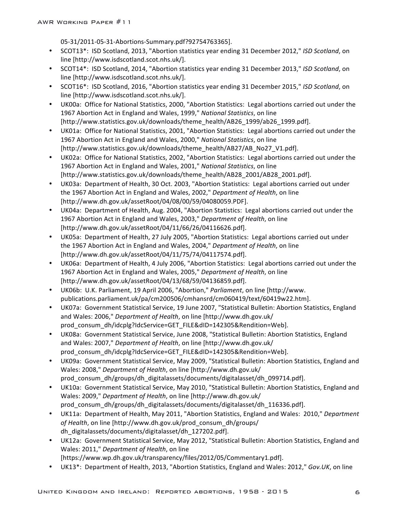05-31/2011-05-31-Abortions-Summary.pdf?92754763365].

- SCOT13<sup>\*</sup>: ISD Scotland, 2013, "Abortion statistics year ending 31 December 2012," *ISD Scotland*, on line [http://www.isdscotland.scot.nhs.uk/].
- SCOT14\*: ISD Scotland, 2014, "Abortion statistics year ending 31 December 2013," *ISD Scotland*, on line [http://www.isdscotland.scot.nhs.uk/].
- SCOT16<sup>\*</sup>: ISD Scotland, 2016, "Abortion statistics year ending 31 December 2015," *ISD Scotland*, on line [http://www.isdscotland.scot.nhs.uk/].
- UK00a: Office for National Statistics, 2000, "Abortion Statistics: Legal abortions carried out under the 1967 Abortion Act in England and Wales, 1999," National Statistics, on line [http://www.statistics.gov.uk/downloads/theme\_health/AB26\_1999/ab26\_1999.pdf].
- UK01a: Office for National Statistics, 2001, "Abortion Statistics: Legal abortions carried out under the 1967 Abortion Act in England and Wales, 2000," National Statistics, on line [http://www.statistics.gov.uk/downloads/theme\_health/AB27/AB\_No27\_V1.pdf].
- UK02a: Office for National Statistics, 2002, "Abortion Statistics: Legal abortions carried out under the 1967 Abortion Act in England and Wales, 2001," *National Statistics*, on line [http://www.statistics.gov.uk/downloads/theme\_health/AB28\_2001/AB28\_2001.pdf].
- UK03a: Department of Health, 30 Oct. 2003, "Abortion Statistics: Legal abortions carried out under the 1967 Abortion Act in England and Wales, 2002," Department of Health, on line [http://www.dh.gov.uk/assetRoot/04/08/00/59/04080059.PDF].
- UK04a: Department of Health, Aug. 2004, "Abortion Statistics: Legal abortions carried out under the 1967 Abortion Act in England and Wales, 2003," Department of Health, on line [http://www.dh.gov.uk/assetRoot/04/11/66/26/04116626.pdf].
- UK05a: Department of Health, 27 July 2005, "Abortion Statistics: Legal abortions carried out under the 1967 Abortion Act in England and Wales, 2004," *Department of Health*, on line [http://www.dh.gov.uk/assetRoot/04/11/75/74/04117574.pdf].
- UK06a: Department of Health, 4 July 2006, "Abortion Statistics: Legal abortions carried out under the 1967 Abortion Act in England and Wales, 2005," *Department of Health*, on line [http://www.dh.gov.uk/assetRoot/04/13/68/59/04136859.pdf].
- UK06b: U.K. Parliament, 19 April 2006, "Abortion," *Parliament*, on line [http://www. publications.parliament.uk/pa/cm200506/cmhansrd/cm060419/text/60419w22.htm].
- UK07a: Government Statistical Service, 19 June 2007, "Statistical Bulletin: Abortion Statistics, England and Wales: 2006," *Department of Health*, on line [http://www.dh.gov.uk/ prod\_consum\_dh/idcplg?IdcService=GET\_FILE&dID=142305&Rendition=Web].
- UK08a: Government Statistical Service, June 2008, "Statistical Bulletin: Abortion Statistics, England and Wales: 2007," Department of Health, on line [http://www.dh.gov.uk/ prod\_consum\_dh/idcplg?IdcService=GET\_FILE&dID=142305&Rendition=Web].
- UK09a: Government Statistical Service, May 2009, "Statistical Bulletin: Abortion Statistics, England and Wales: 2008," *Department of Health*, on line [http://www.dh.gov.uk/ prod\_consum\_dh/groups/dh\_digitalassets/documents/digitalasset/dh\_099714.pdf].
- UK10a: Government Statistical Service, May 2010, "Statistical Bulletin: Abortion Statistics, England and Wales: 2009," Department of Health, on line [http://www.dh.gov.uk/ prod\_consum\_dh/groups/dh\_digitalassets/documents/digitalasset/dh\_116336.pdf].
- UK11a: Department of Health, May 2011, "Abortion Statistics, England and Wales: 2010," Department of Health, on line [http://www.dh.gov.uk/prod\_consum\_dh/groups/ dh\_digitalassets/documents/digitalasset/dh\_127202.pdf].
- UK12a: Government Statistical Service, May 2012, "Statistical Bulletin: Abortion Statistics, England and Wales: 2011," *Department of Health*, on line [https://www.wp.dh.gov.uk/transparency/files/2012/05/Commentary1.pdf].
- UK13\*: Department of Health, 2013, "Abortion Statistics, England and Wales: 2012," Gov.UK, on line